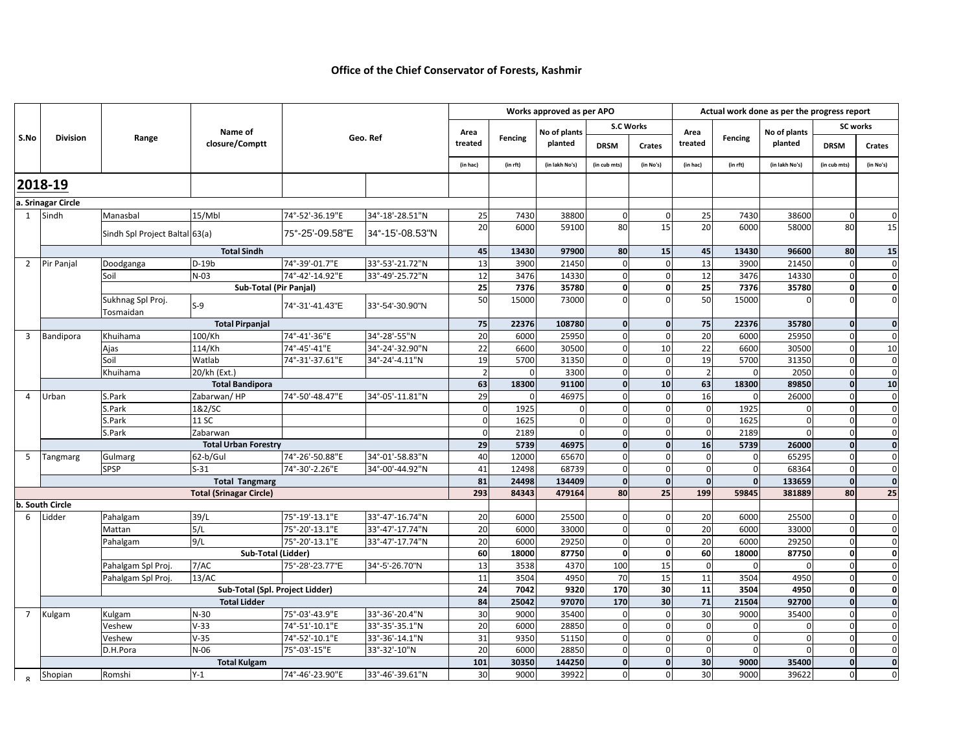## **Office of the Chief Conservator of Forests, Kashmir**

|                                                   | <b>Division</b>       | Range                          | Name of<br>closure/Comptt       | Geo. Ref        |                 | Works approved as per APO |            |                         |                  | Actual work done as per the progress report |                |             |                |                 |                |
|---------------------------------------------------|-----------------------|--------------------------------|---------------------------------|-----------------|-----------------|---------------------------|------------|-------------------------|------------------|---------------------------------------------|----------------|-------------|----------------|-----------------|----------------|
|                                                   |                       |                                |                                 |                 |                 | Area<br>treated           | Fencing    | No of plants<br>planted | <b>S.C Works</b> |                                             | Area           |             | No of plants   | <b>SC works</b> |                |
| S.No                                              |                       |                                |                                 |                 |                 |                           |            |                         | <b>DRSM</b>      | Crates                                      | treated        | Fencing     | planted        | <b>DRSM</b>     | Crates         |
|                                                   |                       |                                |                                 |                 |                 | (in hac)                  | (in rft)   | (in lakh No's)          | (in cub mts)     | (in No's)                                   | (in hac)       | (in rft)    | (in lakh No's) | (in cub mts)    | (in No's)      |
| 2018-19                                           |                       |                                |                                 |                 |                 |                           |            |                         |                  |                                             |                |             |                |                 |                |
|                                                   | a. Srinagar Circle    |                                |                                 |                 |                 |                           |            |                         |                  |                                             |                |             |                |                 |                |
|                                                   | 1 Sindh               | Manasbal                       | 15/Mbl                          | 74°-52'-36.19"E | 34°-18'-28.51"N | 25                        | 7430       | 38800                   | $\Omega$         | $\mathbf 0$                                 | 25             | 7430        | 38600          | $\Omega$        | $\mathbf 0$    |
|                                                   |                       | Sindh Spl Project Baltal 63(a) |                                 | 75°-25'-09.58"E | 34°-15'-08.53"N | 20                        | 6000       | 59100                   | 80               | 15                                          | 20             | 6000        | 58000          | 80              | 15             |
|                                                   |                       | <b>Total Sindh</b>             |                                 |                 |                 |                           | 13430      | 97900                   | 80               | 15                                          | 45             | 13430       | 96600          | 80              | 15             |
| $2^{\circ}$                                       | Pir Panjal            | Doodganga                      | $D-19b$                         | 74°-39'-01.7"E  | 33°-53'-21.72"N | 13                        | 3900       | 21450                   | $\mathbf 0$      | $\Omega$                                    | 13             | 3900        | 21450          | $\Omega$        | $\mathbf 0$    |
|                                                   |                       | Soil                           | $N-03$                          | 74°-42'-14.92"E | 33°-49'-25.72"N | 12                        | 3476       | 14330                   | $\mathbf 0$      | $\mathbf 0$                                 | 12             | 3476        | 14330          | $\Omega$        | $\mathbf 0$    |
|                                                   |                       |                                | <b>Sub-Total (Pir Panjal)</b>   |                 |                 | 25                        | 7376       | 35780                   | $\mathbf 0$      | $\mathbf 0$                                 | 25             | 7376        | 35780          | $\mathbf 0$     | $\mathbf 0$    |
|                                                   |                       | Sukhnag Spl Proj.<br>Tosmaidan | $S-9$                           | 74°-31'-41.43"E | 33°-54'-30.90"N | 50                        | 15000      | 73000                   | $\Omega$         | $\Omega$                                    | 50             | 15000       |                |                 | $\overline{0}$ |
|                                                   |                       | <b>Total Pirpanjal</b>         |                                 |                 |                 |                           | 22376      | 108780                  | $\overline{0}$   | $\mathbf 0$                                 | 75             | 22376       | 35780          | $\mathbf{0}$    | $\mathbf{0}$   |
| $\overline{3}$                                    | Bandipora             | Khuihama                       | 100/Kh                          | 74°-41'-36"E    | 34°-28'-55"N    | 20                        | 6000       | 25950                   | $\mathbf 0$      | $\mathbf 0$                                 | 20             | 6000        | 25950          | $\Omega$        | $\mathbf 0$    |
|                                                   |                       | Ajas                           | 114/Kh                          | 74°-45'-41"E    | 34°-24'-32.90"N | 22                        | 6600       | 30500                   | $\Omega$         | 10                                          | 22             | 6600        | 30500          | $\Omega$        | 10             |
|                                                   |                       | Soil                           | Watlab                          | 74°-31'-37.61"E | 34°-24'-4.11"N  | 19                        | 5700       | 31350                   | $\Omega$         | $\Omega$                                    | 19             | 5700        | 31350          | $\Omega$        | $\mathbf 0$    |
|                                                   |                       | Khuihama                       | 20/kh (Ext.)                    |                 |                 | $\overline{2}$            | $\sqrt{2}$ | 3300                    | $\Omega$         | $\Omega$                                    | $\overline{2}$ | $\mathbf 0$ | 2050           | $\Omega$        | $\mathbf 0$    |
|                                                   |                       |                                | <b>Total Bandipora</b>          |                 |                 | 63                        | 18300      | 91100                   | $\mathbf 0$      | 10                                          | 63             | 18300       | 89850          | $\Omega$        | 10             |
| $\overline{4}$                                    | Urban                 | S.Park                         | Zabarwan/HP                     | 74°-50'-48.47"E | 34°-05'-11.81"N | 29                        |            | 46975                   | $\Omega$         | $\Omega$                                    | 16             | $\Omega$    | 26000          | $\Omega$        | $\mathbf 0$    |
|                                                   |                       | S.Park                         | 1&2/SC                          |                 |                 | $\Omega$                  | 1925       |                         | $\mathbf 0$      | $\Omega$                                    | $\Omega$       | 1925        |                | $\Omega$        | $\mathbf 0$    |
|                                                   |                       | 5.Park                         | 11 SC                           |                 |                 | $\Omega$                  | 1625       |                         | $\Omega$         |                                             | $\Omega$       | 1625        |                |                 | $\mathbf 0$    |
|                                                   |                       | S.Park                         | Zabarwan                        |                 |                 | $\Omega$<br>29            | 2189       |                         | $\Omega$         | $\Omega$                                    | $\Omega$       | 2189        |                | $\Omega$        | $\mathbf 0$    |
|                                                   |                       | <b>Total Urban Forestry</b>    |                                 |                 |                 |                           | 5739       | 46975                   | $\mathbf{0}$     | $\mathbf{0}$                                | 16             | 5739        | 26000          | $\mathbf{0}$    | $\mathbf{0}$   |
| 5                                                 | Tangmarg              | Gulmarg                        | 62-b/Gul                        | 74°-26'-50.88"E | 34°-01'-58.83"N | 40                        | 12000      | 65670                   | $\mathbf 0$      | $\Omega$                                    | $\mathbf 0$    | $\mathbf 0$ | 65295          | $\Omega$        | $\mathbf 0$    |
|                                                   |                       | SPSP                           | $S-31$                          | 74°-30'-2.26"E  | 34°-00'-44.92"N | 41<br>81                  | 12498      | 68739                   | $\mathbf 0$      | $\mathbf 0$                                 | $\mathbf 0$    | $\mathbf 0$ | 68364          | $\Omega$        | $\mathbf 0$    |
|                                                   | <b>Total Tangmarg</b> |                                |                                 |                 |                 |                           | 24498      | 134409                  | $\mathbf{0}$     | $\mathbf 0$                                 | $\mathbf 0$    | $\mathbf 0$ | 133659         | $\mathbf{0}$    | $\mathbf{0}$   |
| <b>Total (Srinagar Circle)</b><br>b. South Circle |                       |                                |                                 |                 |                 | 293                       | 84343      | 479164                  | 80               | 25                                          | 199            | 59845       | 381889         | 80              | 25             |
| 6                                                 | Lidder                | Pahalgam                       | 39/L                            | 75°-19'-13.1"E  | 33°-47'-16.74"N | 20                        | 6000       | 25500                   | $\mathbf 0$      | $\Omega$                                    | 20             | 6000        | 25500          | $\Omega$        | $\overline{0}$ |
|                                                   |                       | Mattan                         | 5/L                             | 75°-20'-13.1"E  | 33°-47'-17.74"N | 20                        | 6000       | 33000                   | $\Omega$         | $\Omega$                                    | 20             | 6000        | 33000          | $\Omega$        | $\mathbf 0$    |
|                                                   |                       | Pahalgam                       | 9/L                             | 75°-20'-13.1"E  | 33°-47'-17.74"N | 20                        | 6000       | 29250                   | $\Omega$         | $\Omega$                                    | 20             | 6000        | 29250          |                 | $\overline{0}$ |
|                                                   |                       |                                | Sub-Total (Lidder)              |                 |                 | 60                        | 18000      | 87750                   | $\mathbf 0$      | $\mathbf 0$                                 | 60             | 18000       | 87750          | $\mathbf{0}$    | $\mathbf{0}$   |
|                                                   |                       | Pahalgam Spl Proj              | 7/AC                            | 75°-28'-23.77"E | 34°-5'-26.70"N  | 13                        | 3538       | 4370                    | 100              | 15                                          | $\mathbf 0$    | $\mathbf 0$ | $\Omega$       | $\Omega$        | $\mathbf 0$    |
|                                                   |                       | Pahalgam Spl Proj              | 13/AC                           |                 |                 | 11                        | 3504       | 4950                    | 70               | 15                                          | 11             | 3504        | 4950           | $\Omega$        | $\mathbf 0$    |
|                                                   |                       |                                | Sub-Total (Spl. Project Lidder) |                 |                 | 24                        | 7042       | 9320                    | 170              | 30                                          | 11             | 3504        | 4950           | $\mathbf{0}$    | $\mathbf 0$    |
|                                                   |                       | <b>Total Lidder</b>            |                                 |                 |                 |                           | 25042      | 97070                   | 170              | 30                                          | 71             | 21504       | 92700          | $\mathbf{0}$    | $\mathbf{0}$   |
| $7^{\circ}$                                       | Kulgam                | Kulgam                         | $N-30$                          | 75°-03'-43.9"E  | 33°-36'-20.4"N  | 84<br>30                  | 9000       | 35400                   | $\mathbf 0$      | $\Omega$                                    | 30             | 9000        | 35400          | C               | $\mathbf 0$    |
|                                                   |                       | Veshew                         | $V-33$                          | 74°-51'-10.1"E  | 33°-35'-35.1"N  | 20                        | 6000       | 28850                   | $\pmb{0}$        | $\Omega$                                    | $\mathbf 0$    | $\mathbf 0$ |                | $\Omega$        | $\mathbf 0$    |
|                                                   |                       | Veshew                         | $V-35$                          | 74°-52'-10.1"E  | 33°-36'-14.1"N  | 31                        | 9350       | 51150                   | $\Omega$         | $\Omega$                                    | $\Omega$       | $\mathbf 0$ |                | $\Omega$        | $\mathbf{0}$   |
|                                                   |                       | D.H.Pora                       | $N-06$                          | 75°-03'-15"E    | 33°-32'-10"N    | 20                        | 6000       | 28850                   | $\mathbf 0$      | $\mathbf 0$                                 | $\mathbf 0$    | $\mathbf 0$ |                | $\Omega$        | $\mathbf 0$    |
|                                                   |                       | <b>Total Kulgam</b>            |                                 |                 | 101             | 30350                     | 144250     | $\Omega$                | $\Omega$         | 30                                          | 9000           | 35400       | $\Omega$       | $\mathbf{0}$    |                |
| $\Omega$                                          | Shopian               | Romshi                         | $Y-1$                           | 74°-46'-23.90"E | 33°-46'-39.61"N | 30                        | 9000       | 39922                   | $\Omega$         | $\Omega$                                    | 30             | 9000        | 39622          |                 | $\overline{0}$ |